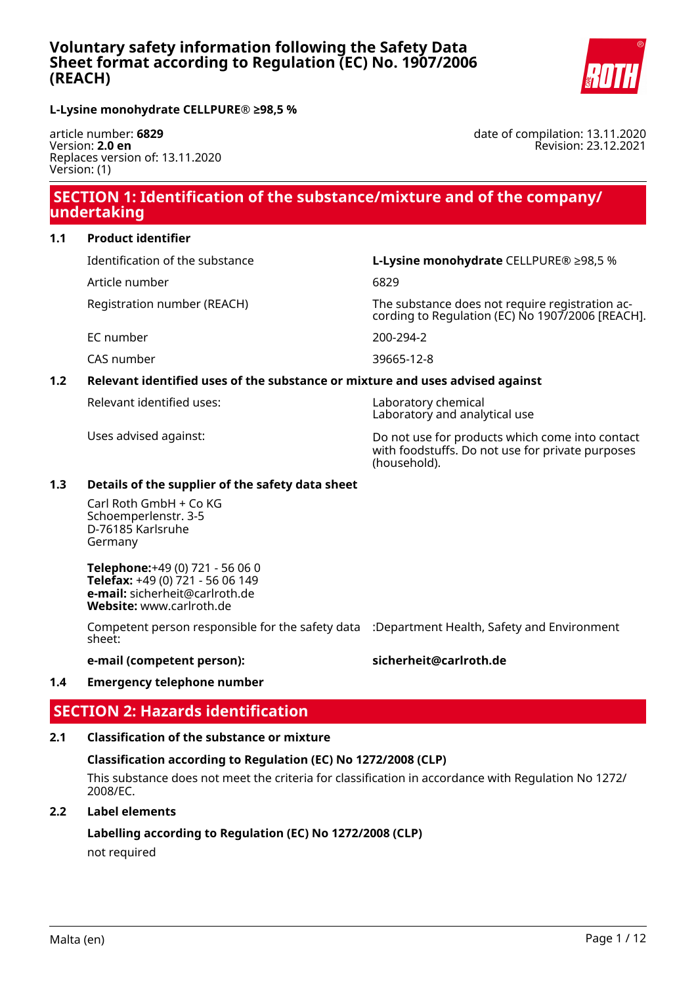

date of compilation: 13.11.2020

Revision: 23.12.2021

**L-Lysine monohydrate CELLPURE® ≥98,5 %**

article number: **6829** Version: **2.0 en** Replaces version of: 13.11.2020 Version: (1)

# **SECTION 1: Identification of the substance/mixture and of the company/ undertaking**

### **1.1 Product identifier**

Identification of the substance **L-Lysine monohydrate** CELLPURE® ≥98,5 %

Article number 6829

Registration number (REACH) The substance does not require registration ac-

EC number 200-294-2

cording to Regulation (EC) No 1907/2006 [REACH].

CAS number 39665-12-8

## **1.2 Relevant identified uses of the substance or mixture and uses advised against**

Relevant identified uses: Laboratory chemical

Laboratory and analytical use

Uses advised against: Do not use for products which come into contact with foodstuffs. Do not use for private purposes (household).

## **1.3 Details of the supplier of the safety data sheet**

Carl Roth GmbH + Co KG Schoemperlenstr. 3-5 D-76185 Karlsruhe Germany

**Telephone:**+49 (0) 721 - 56 06 0 **Telefax:** +49 (0) 721 - 56 06 149 **e-mail:** sicherheit@carlroth.de **Website:** www.carlroth.de

Competent person responsible for the safety data :Department Health, Safety and Environment sheet:

### **e-mail (competent person): sicherheit@carlroth.de**

## **1.4 Emergency telephone number**

# **SECTION 2: Hazards identification**

## **2.1 Classification of the substance or mixture**

## **Classification according to Regulation (EC) No 1272/2008 (CLP)**

This substance does not meet the criteria for classification in accordance with Regulation No 1272/ 2008/EC.

## **2.2 Label elements**

# **Labelling according to Regulation (EC) No 1272/2008 (CLP)**

not required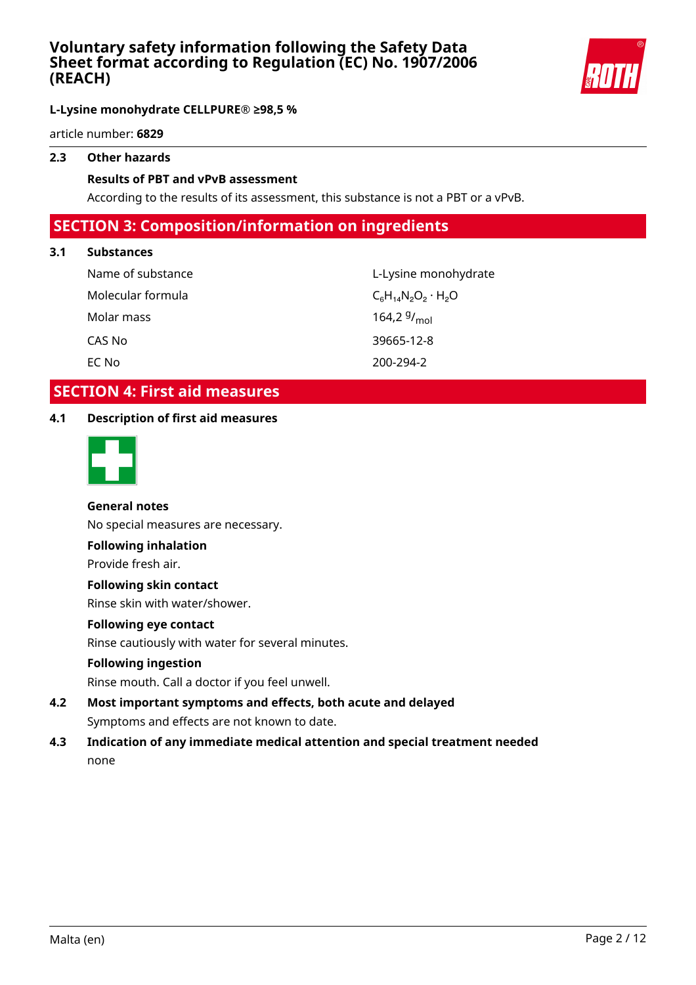

**L-Lysine monohydrate CELLPURE® ≥98,5 %**

article number: **6829**

## **2.3 Other hazards**

### **Results of PBT and vPvB assessment**

According to the results of its assessment, this substance is not a PBT or a vPvB.

# **SECTION 3: Composition/information on ingredients**

### **3.1 Substances**

| Name of substance | L-Lysine m                |
|-------------------|---------------------------|
| Molecular formula | $C_6H_{14}N_2O_2$         |
| Molar mass        | 164,2 $9/$ <sub>mol</sub> |
| CAS No            | 39665-12-8                |
| EC No             | 200-294-2                 |

L-Lysine monohydrate  $C_6H_{14}N_2O_2\cdot H_2O$ CAS No 39665-12-8 200-294-2

# **SECTION 4: First aid measures**

### **4.1 Description of first aid measures**



## **General notes**

No special measures are necessary.

### **Following inhalation**

Provide fresh air.

### **Following skin contact**

Rinse skin with water/shower.

### **Following eye contact**

Rinse cautiously with water for several minutes.

#### **Following ingestion**

Rinse mouth. Call a doctor if you feel unwell.

- **4.2 Most important symptoms and effects, both acute and delayed** Symptoms and effects are not known to date.
- **4.3 Indication of any immediate medical attention and special treatment needed** none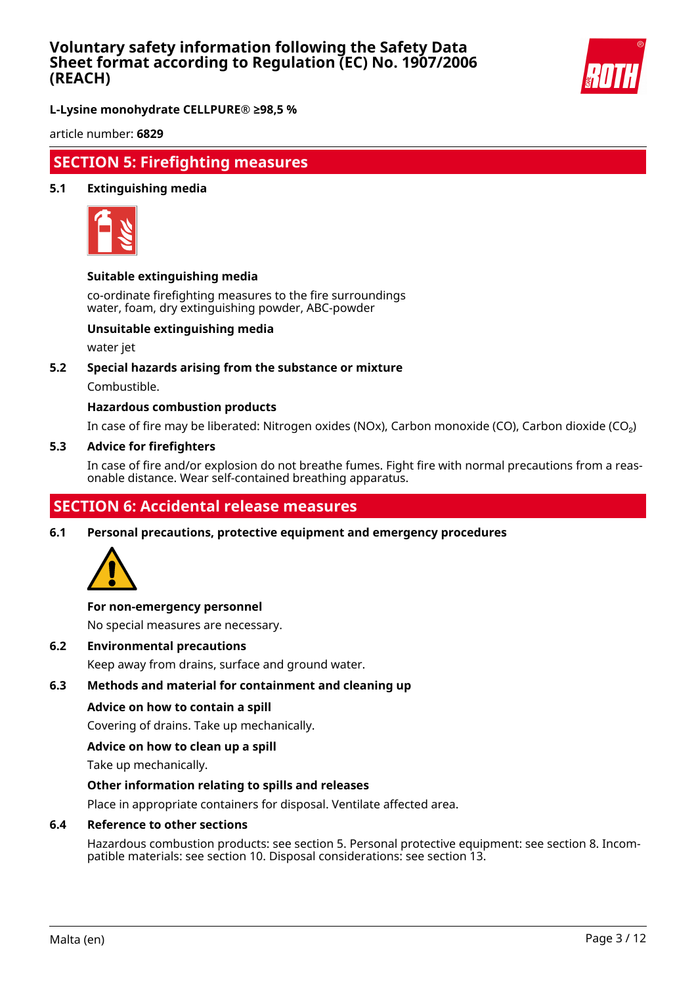

**L-Lysine monohydrate CELLPURE® ≥98,5 %**

article number: **6829**

## **SECTION 5: Firefighting measures**

### **5.1 Extinguishing media**



#### **Suitable extinguishing media**

co-ordinate firefighting measures to the fire surroundings water, foam, dry extinguishing powder, ABC-powder

### **Unsuitable extinguishing media**

water jet

#### **5.2 Special hazards arising from the substance or mixture**

Combustible.

### **Hazardous combustion products**

In case of fire may be liberated: Nitrogen oxides (NOx), Carbon monoxide (CO), Carbon dioxide (CO₂)

#### **5.3 Advice for firefighters**

In case of fire and/or explosion do not breathe fumes. Fight fire with normal precautions from a reasonable distance. Wear self-contained breathing apparatus.

# **SECTION 6: Accidental release measures**

**6.1 Personal precautions, protective equipment and emergency procedures**



#### **For non-emergency personnel**

No special measures are necessary.

**6.2 Environmental precautions**

Keep away from drains, surface and ground water.

### **6.3 Methods and material for containment and cleaning up**

#### **Advice on how to contain a spill**

Covering of drains. Take up mechanically.

#### **Advice on how to clean up a spill**

Take up mechanically.

#### **Other information relating to spills and releases**

Place in appropriate containers for disposal. Ventilate affected area.

### **6.4 Reference to other sections**

Hazardous combustion products: see section 5. Personal protective equipment: see section 8. Incompatible materials: see section 10. Disposal considerations: see section 13.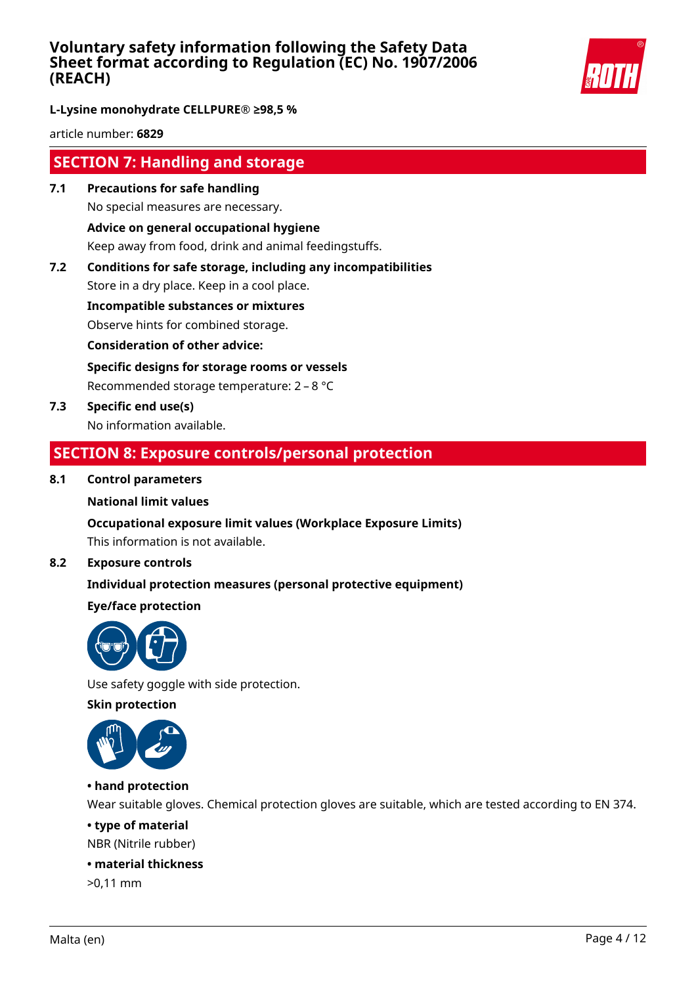

**L-Lysine monohydrate CELLPURE® ≥98,5 %**

article number: **6829**

# **SECTION 7: Handling and storage**

- **7.1 Precautions for safe handling** No special measures are necessary. **Advice on general occupational hygiene** Keep away from food, drink and animal feedingstuffs.
- **7.2 Conditions for safe storage, including any incompatibilities**

Store in a dry place. Keep in a cool place.

**Incompatible substances or mixtures**

Observe hints for combined storage.

**Consideration of other advice:**

**Specific designs for storage rooms or vessels**

Recommended storage temperature: 2 – 8 °C

**7.3 Specific end use(s)** No information available.

# **SECTION 8: Exposure controls/personal protection**

## **8.1 Control parameters**

#### **National limit values**

## **Occupational exposure limit values (Workplace Exposure Limits)**

This information is not available.

### **8.2 Exposure controls**

## **Individual protection measures (personal protective equipment)**

## **Eye/face protection**



Use safety goggle with side protection.

**Skin protection**



## **• hand protection**

Wear suitable gloves. Chemical protection gloves are suitable, which are tested according to EN 374.

### **• type of material**

NBR (Nitrile rubber)

### **• material thickness**

>0,11 mm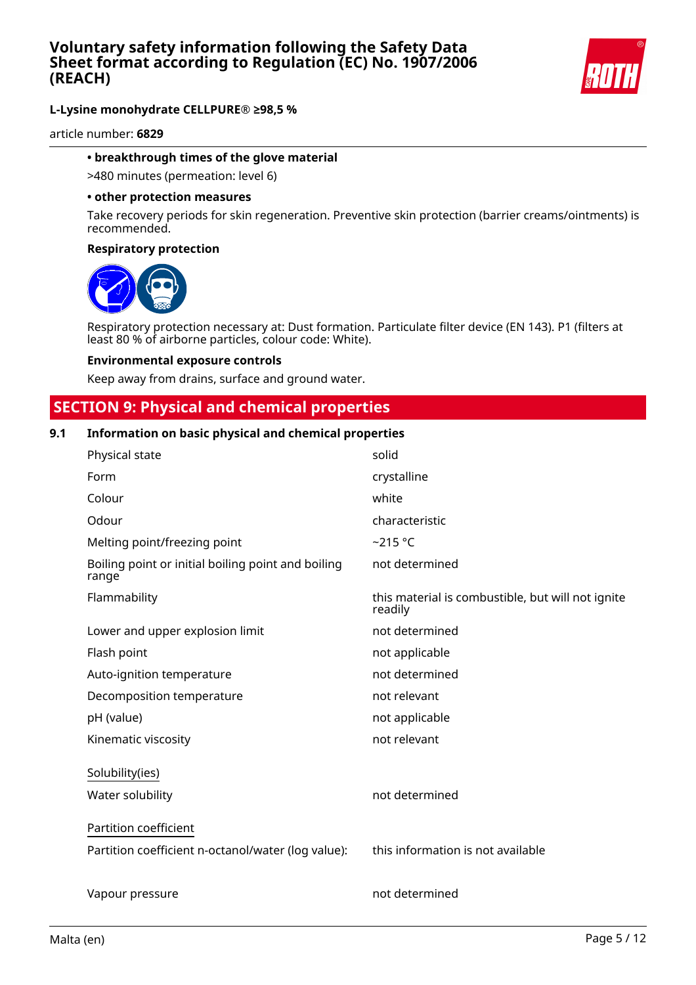

article number: **6829**

#### **• breakthrough times of the glove material**

>480 minutes (permeation: level 6)

#### **• other protection measures**

Take recovery periods for skin regeneration. Preventive skin protection (barrier creams/ointments) is recommended.

#### **Respiratory protection**



Respiratory protection necessary at: Dust formation. Particulate filter device (EN 143). P1 (filters at least 80 % of airborne particles, colour code: White).

#### **Environmental exposure controls**

Keep away from drains, surface and ground water.

## **SECTION 9: Physical and chemical properties**

#### **9.1 Information on basic physical and chemical properties**

| Physical state                                              | solid                                                        |
|-------------------------------------------------------------|--------------------------------------------------------------|
| Form                                                        | crystalline                                                  |
| Colour                                                      | white                                                        |
| Odour                                                       | characteristic                                               |
| Melting point/freezing point                                | $~215$ °C                                                    |
| Boiling point or initial boiling point and boiling<br>range | not determined                                               |
| Flammability                                                | this material is combustible, but will not ignite<br>readily |
| Lower and upper explosion limit                             | not determined                                               |
| Flash point                                                 | not applicable                                               |
| Auto-ignition temperature                                   | not determined                                               |
| Decomposition temperature                                   | not relevant                                                 |
| pH (value)                                                  | not applicable                                               |
| Kinematic viscosity                                         | not relevant                                                 |
| Solubility(ies)                                             |                                                              |
| Water solubility                                            | not determined                                               |
| Partition coefficient                                       |                                                              |
| Partition coefficient n-octanol/water (log value):          | this information is not available                            |
| Vapour pressure                                             | not determined                                               |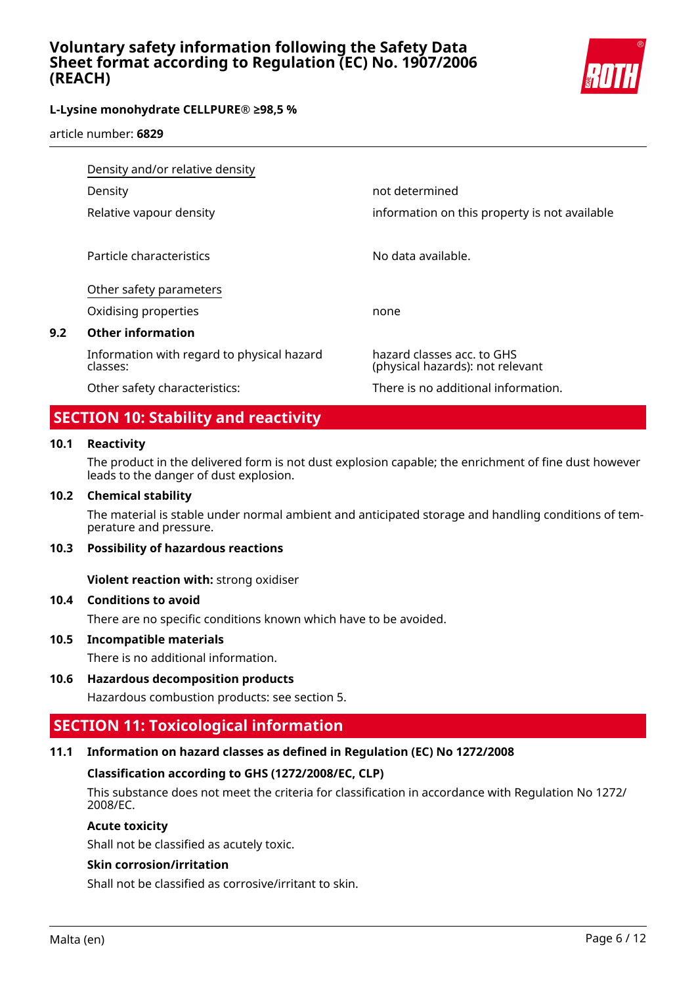

article number: **6829**

|     | Density and/or relative density                        |                                                                |
|-----|--------------------------------------------------------|----------------------------------------------------------------|
|     | Density                                                | not determined                                                 |
|     | Relative vapour density                                | information on this property is not available                  |
|     | Particle characteristics                               | No data available.                                             |
|     | Other safety parameters                                |                                                                |
|     | Oxidising properties                                   | none                                                           |
| 9.2 | <b>Other information</b>                               |                                                                |
|     | Information with regard to physical hazard<br>classes: | hazard classes acc. to GHS<br>(physical hazards): not relevant |
|     | Other safety characteristics:                          | There is no additional information.                            |

# **SECTION 10: Stability and reactivity**

#### **10.1 Reactivity**

The product in the delivered form is not dust explosion capable; the enrichment of fine dust however leads to the danger of dust explosion.

#### **10.2 Chemical stability**

The material is stable under normal ambient and anticipated storage and handling conditions of temperature and pressure.

#### **10.3 Possibility of hazardous reactions**

**Violent reaction with:** strong oxidiser

#### **10.4 Conditions to avoid**

There are no specific conditions known which have to be avoided.

#### **10.5 Incompatible materials**

There is no additional information.

#### **10.6 Hazardous decomposition products**

Hazardous combustion products: see section 5.

# **SECTION 11: Toxicological information**

#### **11.1 Information on hazard classes as defined in Regulation (EC) No 1272/2008**

#### **Classification according to GHS (1272/2008/EC, CLP)**

This substance does not meet the criteria for classification in accordance with Regulation No 1272/ 2008/EC.

### **Acute toxicity**

Shall not be classified as acutely toxic.

### **Skin corrosion/irritation**

Shall not be classified as corrosive/irritant to skin.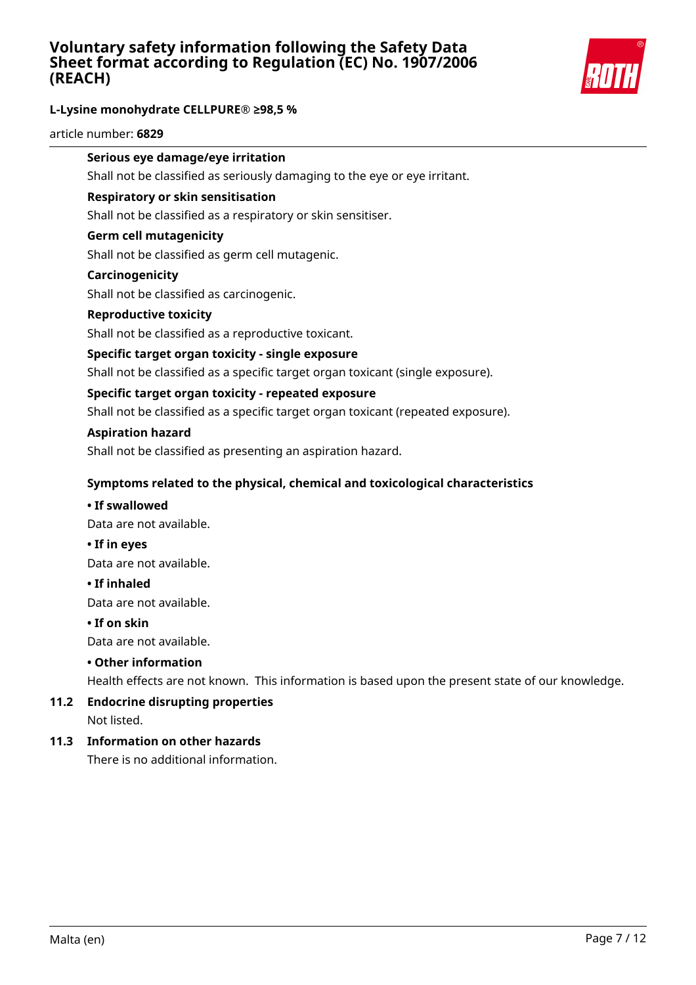

### **L-Lysine monohydrate CELLPURE® ≥98,5 %**

article number: **6829**

## **Serious eye damage/eye irritation**

Shall not be classified as seriously damaging to the eye or eye irritant.

#### **Respiratory or skin sensitisation**

Shall not be classified as a respiratory or skin sensitiser.

#### **Germ cell mutagenicity**

Shall not be classified as germ cell mutagenic.

#### **Carcinogenicity**

Shall not be classified as carcinogenic.

#### **Reproductive toxicity**

Shall not be classified as a reproductive toxicant.

#### **Specific target organ toxicity - single exposure**

Shall not be classified as a specific target organ toxicant (single exposure).

#### **Specific target organ toxicity - repeated exposure**

Shall not be classified as a specific target organ toxicant (repeated exposure).

#### **Aspiration hazard**

Shall not be classified as presenting an aspiration hazard.

#### **Symptoms related to the physical, chemical and toxicological characteristics**

#### **• If swallowed**

Data are not available.

**• If in eyes**

Data are not available.

#### **• If inhaled**

Data are not available.

#### **• If on skin**

Data are not available.

### **• Other information**

Health effects are not known. This information is based upon the present state of our knowledge.

#### **11.2 Endocrine disrupting properties** Not listed.

### **11.3 Information on other hazards**

There is no additional information.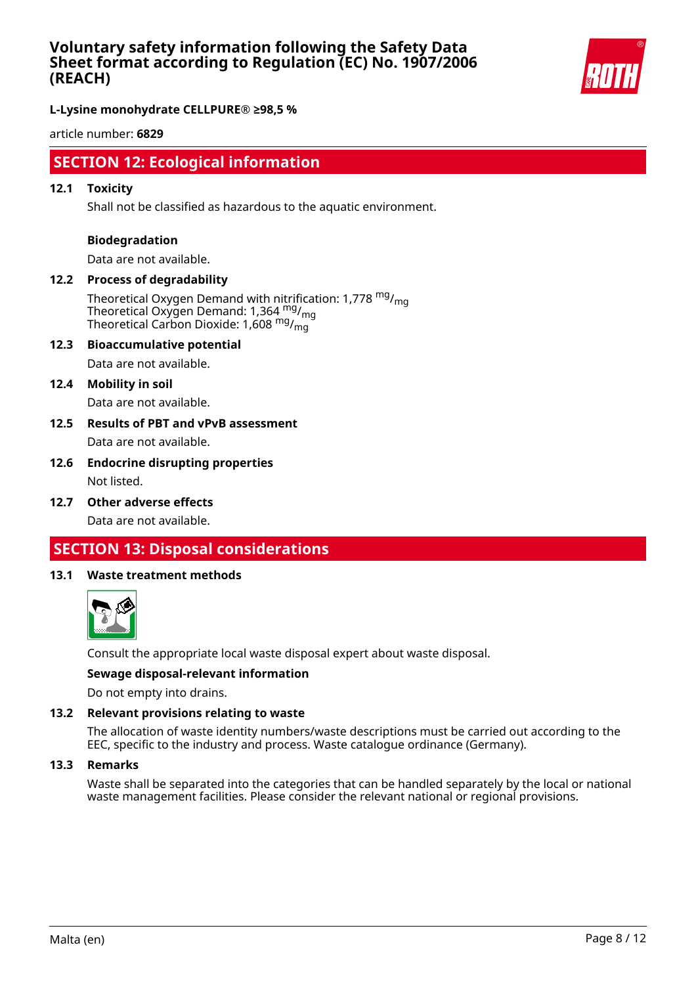

**L-Lysine monohydrate CELLPURE® ≥98,5 %**

article number: **6829**

## **SECTION 12: Ecological information**

#### **12.1 Toxicity**

Shall not be classified as hazardous to the aquatic environment.

#### **Biodegradation**

Data are not available.

## **12.2 Process of degradability**

Theoretical Oxygen Demand with nitrification: 1,778  $mg/m<sub>on</sub>$ Theoretical Oxygen Demand: 1,364 <sup>mg</sup>/<sub>mg</sub> Theoretical Carbon Dioxide: 1,608 mg/mg

#### **12.3 Bioaccumulative potential**

Data are not available.

#### **12.4 Mobility in soil**

Data are not available.

### **12.5 Results of PBT and vPvB assessment** Data are not available.

### **12.6 Endocrine disrupting properties** Not listed.

**12.7 Other adverse effects**

Data are not available.

# **SECTION 13: Disposal considerations**

#### **13.1 Waste treatment methods**



Consult the appropriate local waste disposal expert about waste disposal.

#### **Sewage disposal-relevant information**

Do not empty into drains.

#### **13.2 Relevant provisions relating to waste**

The allocation of waste identity numbers/waste descriptions must be carried out according to the EEC, specific to the industry and process. Waste catalogue ordinance (Germany).

#### **13.3 Remarks**

Waste shall be separated into the categories that can be handled separately by the local or national waste management facilities. Please consider the relevant national or regional provisions.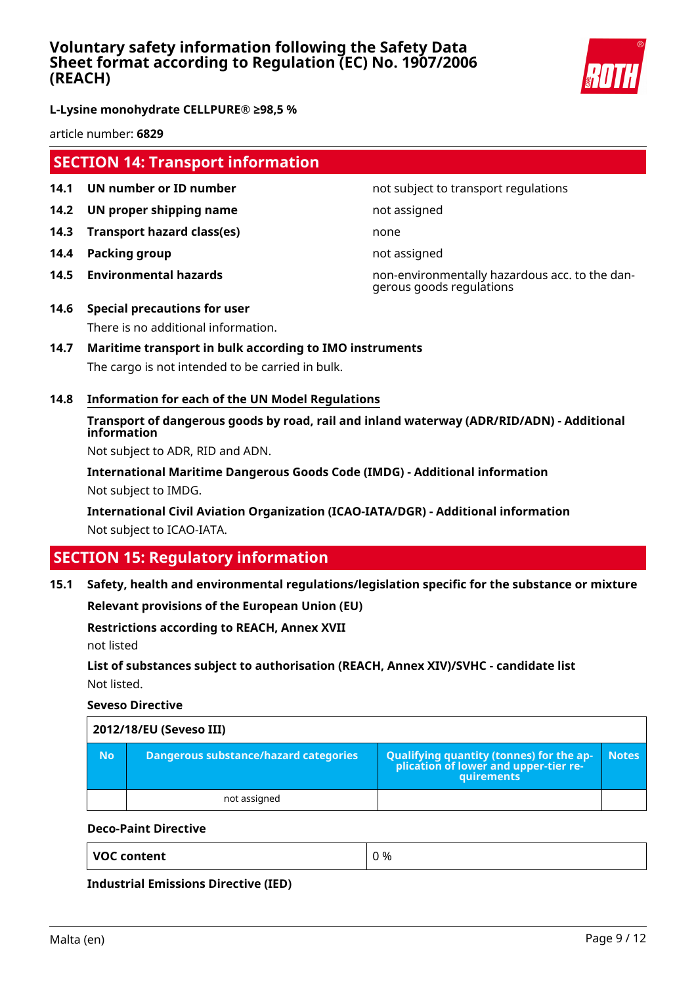

**L-Lysine monohydrate CELLPURE® ≥98,5 %**

article number: **6829**

## **SECTION 14: Transport information**

- **14.1 UN number or ID number not subject to transport regulations**
- **14.2 UN proper shipping name** not assigned
- **14.3 Transport hazard class(es)** none
- **14.4 Packing group not assigned**
- 

**14.5 Environmental hazards** non-environmentally hazardous acc. to the dangerous goods regulations

- **14.6 Special precautions for user** There is no additional information.
- **14.7 Maritime transport in bulk according to IMO instruments** The cargo is not intended to be carried in bulk.
- **14.8 Information for each of the UN Model Regulations**

## **Transport of dangerous goods by road, rail and inland waterway (ADR/RID/ADN) - Additional information**

Not subject to ADR, RID and ADN.

**International Maritime Dangerous Goods Code (IMDG) - Additional information** Not subject to IMDG.

**International Civil Aviation Organization (ICAO-IATA/DGR) - Additional information** Not subject to ICAO-IATA.

# **SECTION 15: Regulatory information**

#### **15.1 Safety, health and environmental regulations/legislation specific for the substance or mixture**

**Relevant provisions of the European Union (EU)**

#### **Restrictions according to REACH, Annex XVII**

not listed

## **List of substances subject to authorisation (REACH, Annex XIV)/SVHC - candidate list** Not listed.

**Seveso Directive**

|           | 2012/18/EU (Seveso III)               |                                                                                                           |              |
|-----------|---------------------------------------|-----------------------------------------------------------------------------------------------------------|--------------|
| <b>No</b> | Dangerous substance/hazard categories | Qualifying quantity (tonnes) for the ap-<br> - plication of lower and upper-tier re-<br><b>auirements</b> | <b>Notes</b> |
|           | not assigned                          |                                                                                                           |              |

#### **Deco-Paint Directive**

**Industrial Emissions Directive (IED)**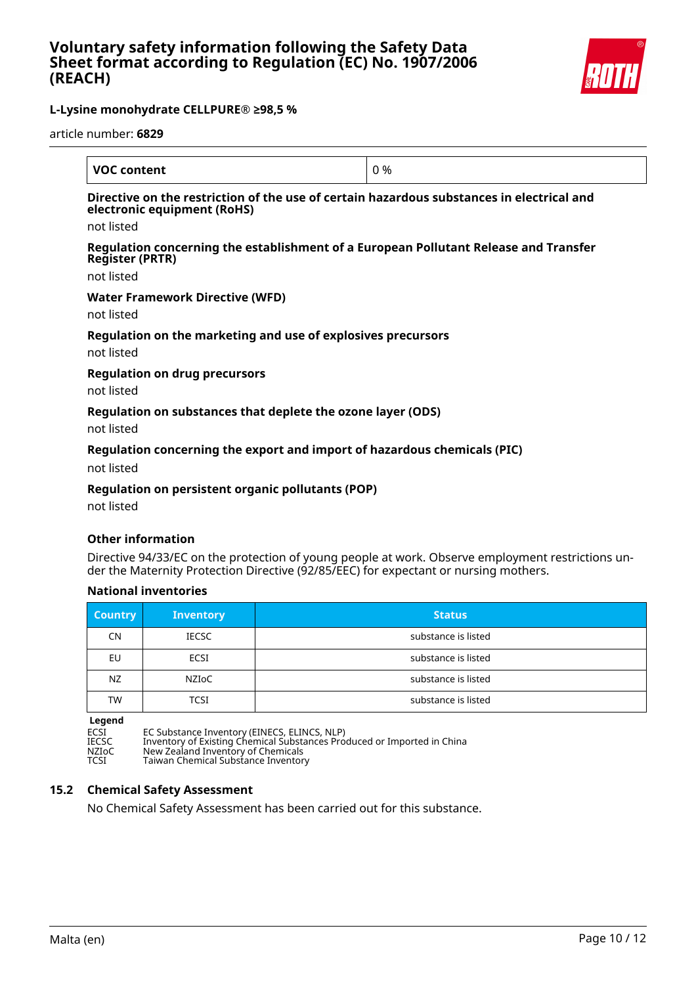

article number: **6829**

| <b>VOC content</b>                                                                                                       | 0 % |
|--------------------------------------------------------------------------------------------------------------------------|-----|
| Directive on the restriction of the use of certain hazardous substances in electrical and<br>electronic equipment (RoHS) |     |
| not listed                                                                                                               |     |
| Regulation concerning the establishment of a European Pollutant Release and Transfer<br><b>Register (PRTR)</b>           |     |
| not listed                                                                                                               |     |
| <b>Water Framework Directive (WFD)</b>                                                                                   |     |
| not listed                                                                                                               |     |
| Regulation on the marketing and use of explosives precursors                                                             |     |
| not listed                                                                                                               |     |
| <b>Regulation on drug precursors</b>                                                                                     |     |
| not listed                                                                                                               |     |
| Regulation on substances that deplete the ozone layer (ODS)                                                              |     |

not listed

### **Regulation concerning the export and import of hazardous chemicals (PIC)**

not listed

### **Regulation on persistent organic pollutants (POP)**

not listed

#### **Other information**

Directive 94/33/EC on the protection of young people at work. Observe employment restrictions under the Maternity Protection Directive (92/85/EEC) for expectant or nursing mothers.

#### **National inventories**

| <b>Country</b> | <b>Inventory</b> | <b>Status</b>       |
|----------------|------------------|---------------------|
| <b>CN</b>      | <b>IECSC</b>     | substance is listed |
| EU             | ECSI             | substance is listed |
| NZ.            | NZIoC            | substance is listed |
| <b>TW</b>      | TCSI             | substance is listed |

**Legend**

ECSI EC Substance Inventory (EINECS, ELINCS, NLP) IECSC Inventory of Existing Chemical Substances Produced or Imported in China NZIoC New Zealand Inventory of Chemicals TCSI Taiwan Chemical Substance Inventory

### **15.2 Chemical Safety Assessment**

No Chemical Safety Assessment has been carried out for this substance.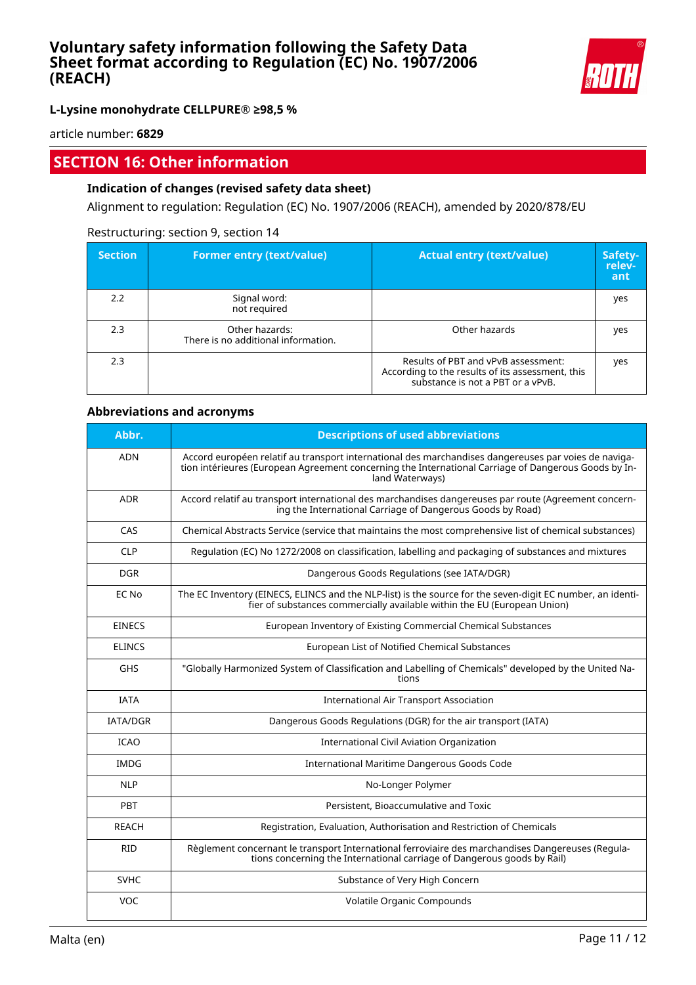

**L-Lysine monohydrate CELLPURE® ≥98,5 %**

article number: **6829**

# **SECTION 16: Other information**

## **Indication of changes (revised safety data sheet)**

Alignment to regulation: Regulation (EC) No. 1907/2006 (REACH), amended by 2020/878/EU

#### Restructuring: section 9, section 14

| <b>Section</b> | <b>Former entry (text/value)</b>                      | <b>Actual entry (text/value)</b>                                                                                             | Safety-<br>relev-<br>ant |
|----------------|-------------------------------------------------------|------------------------------------------------------------------------------------------------------------------------------|--------------------------|
| 2.2            | Signal word:<br>not required                          |                                                                                                                              | yes                      |
| 2.3            | Other hazards:<br>There is no additional information. | Other hazards                                                                                                                | yes                      |
| 2.3            |                                                       | Results of PBT and vPvB assessment:<br>According to the results of its assessment, this<br>substance is not a PBT or a vPvB. | yes                      |

### **Abbreviations and acronyms**

| Abbr.           | <b>Descriptions of used abbreviations</b>                                                                                                                                                                                       |
|-----------------|---------------------------------------------------------------------------------------------------------------------------------------------------------------------------------------------------------------------------------|
| <b>ADN</b>      | Accord européen relatif au transport international des marchandises dangereuses par voies de naviga-<br>tion intérieures (European Agreement concerning the International Carriage of Dangerous Goods by In-<br>land Waterways) |
| <b>ADR</b>      | Accord relatif au transport international des marchandises dangereuses par route (Agreement concern-<br>ing the International Carriage of Dangerous Goods by Road)                                                              |
| CAS             | Chemical Abstracts Service (service that maintains the most comprehensive list of chemical substances)                                                                                                                          |
| <b>CLP</b>      | Regulation (EC) No 1272/2008 on classification, labelling and packaging of substances and mixtures                                                                                                                              |
| <b>DGR</b>      | Dangerous Goods Regulations (see IATA/DGR)                                                                                                                                                                                      |
| EC No           | The EC Inventory (EINECS, ELINCS and the NLP-list) is the source for the seven-digit EC number, an identi-<br>fier of substances commercially available within the EU (European Union)                                          |
| <b>EINECS</b>   | European Inventory of Existing Commercial Chemical Substances                                                                                                                                                                   |
| <b>ELINCS</b>   | European List of Notified Chemical Substances                                                                                                                                                                                   |
| <b>GHS</b>      | "Globally Harmonized System of Classification and Labelling of Chemicals" developed by the United Na-<br>tions                                                                                                                  |
| <b>TATA</b>     | <b>International Air Transport Association</b>                                                                                                                                                                                  |
| <b>IATA/DGR</b> | Dangerous Goods Regulations (DGR) for the air transport (IATA)                                                                                                                                                                  |
| <b>ICAO</b>     | International Civil Aviation Organization                                                                                                                                                                                       |
| IMDG            | International Maritime Dangerous Goods Code                                                                                                                                                                                     |
| <b>NLP</b>      | No-Longer Polymer                                                                                                                                                                                                               |
| PBT             | Persistent, Bioaccumulative and Toxic                                                                                                                                                                                           |
| <b>REACH</b>    | Registration, Evaluation, Authorisation and Restriction of Chemicals                                                                                                                                                            |
| <b>RID</b>      | Règlement concernant le transport International ferroviaire des marchandises Dangereuses (Regula-<br>tions concerning the International carriage of Dangerous goods by Rail)                                                    |
| <b>SVHC</b>     | Substance of Very High Concern                                                                                                                                                                                                  |
| <b>VOC</b>      | Volatile Organic Compounds                                                                                                                                                                                                      |